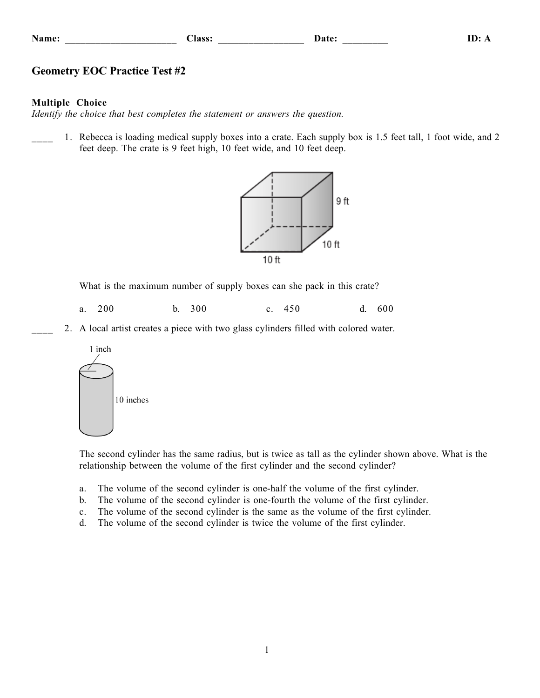| Name <sup>•</sup> |  |
|-------------------|--|
|                   |  |

**Name: \_\_\_\_\_\_\_\_\_\_\_\_\_\_\_\_\_\_\_\_\_\_ Class: \_\_\_\_\_\_\_\_\_\_\_\_\_\_\_\_\_ Date: \_\_\_\_\_\_\_\_\_ ID: A**

## **Geometry EOC Practice Test #2**

## **Multiple Choice**

*Identify the choice that best completes the statement or answers the question.*

1. Rebecca is loading medical supply boxes into a crate. Each supply box is 1.5 feet tall, 1 foot wide, and 2 feet deep. The crate is 9 feet high, 10 feet wide, and 10 feet deep.



What is the maximum number of supply boxes can she pack in this crate?

- a. 200 b. 300 c. 450 d. 600
- \_\_\_\_ 2. A local artist creates a piece with two glass cylinders filled with colored water.



The second cylinder has the same radius, but is twice as tall as the cylinder shown above. What is the relationship between the volume of the first cylinder and the second cylinder?

- a. The volume of the second cylinder is one-half the volume of the first cylinder.
- b. The volume of the second cylinder is one-fourth the volume of the first cylinder.
- c. The volume of the second cylinder is the same as the volume of the first cylinder.
- d. The volume of the second cylinder is twice the volume of the first cylinder.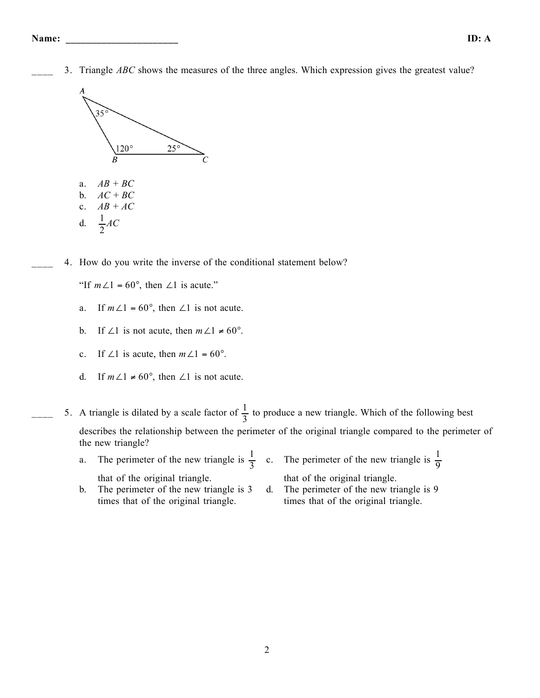\_\_\_\_ 3. Triangle *ABC* shows the measures of the three angles. Which expression gives the greatest value?



4. How do you write the inverse of the conditional statement below?

"If  $m\angle 1 = 60^{\circ}$ , then  $\angle 1$  is acute."

- a. If  $m\angle 1 = 60^\circ$ , then  $\angle 1$  is not acute.
- b. If ∠1 is not acute, then  $m\angle 1 \neq 60^\circ$ .
- c. If ∠1 is acute, then  $m\angle 1 = 60^\circ$ .
- d. If  $m\angle 1 \neq 60^\circ$ , then  $\angle 1$  is not acute.
- $\frac{1}{3}$  to produce a new triangle. Which of the following best describes the relationship between the perimeter of the original triangle compared to the perimeter of the new triangle?
	- a. The perimeter of the new triangle is  $\frac{1}{3}$  c. The perimeter of the new triangle is  $\frac{1}{9}$ that of the original triangle. that of the original triangle.
	- b. The perimeter of the new triangle is 3 times that of the original triangle. d. The perimeter of the new triangle is 9 times that of the original triangle.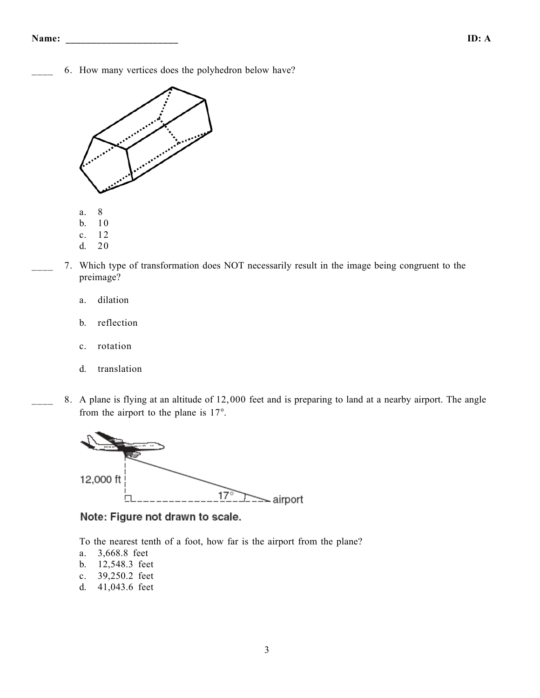6. How many vertices does the polyhedron below have?



- d. 20
- \_\_\_\_ 7. Which type of transformation does NOT necessarily result in the image being congruent to the preimage?
	- a. dilation
	- b. reflection
	- c. rotation
	- d. translation
- 8. A plane is flying at an altitude of 12,000 feet and is preparing to land at a nearby airport. The angle from the airport to the plane is 17°.



Note: Figure not drawn to scale.

To the nearest tenth of a foot, how far is the airport from the plane?

- a. 3,668.8 feet
- b. 12,548.3 feet
- c. 39,250.2 feet
- d. 41,043.6 feet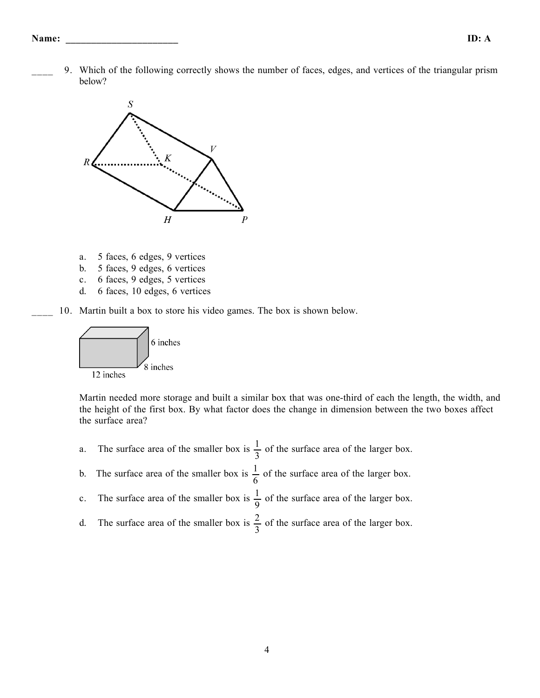\_\_\_\_ 9. Which of the following correctly shows the number of faces, edges, and vertices of the triangular prism below?



- a. 5 faces, 6 edges, 9 vertices
- b. 5 faces, 9 edges, 6 vertices
- c. 6 faces, 9 edges, 5 vertices
- d. 6 faces, 10 edges, 6 vertices
- 10. Martin built a box to store his video games. The box is shown below.



Martin needed more storage and built a similar box that was one-third of each the length, the width, and the height of the first box. By what factor does the change in dimension between the two boxes affect the surface area?

- a. The surface area of the smaller box is  $\frac{1}{2}$ 3 of the surface area of the larger box.
- b. The surface area of the smaller box is  $\frac{1}{6}$ 6 of the surface area of the larger box.
- c. The surface area of the smaller box is  $\frac{1}{2}$ 9 of the surface area of the larger box.
- d. The surface area of the smaller box is  $\frac{2}{3}$ 3 of the surface area of the larger box.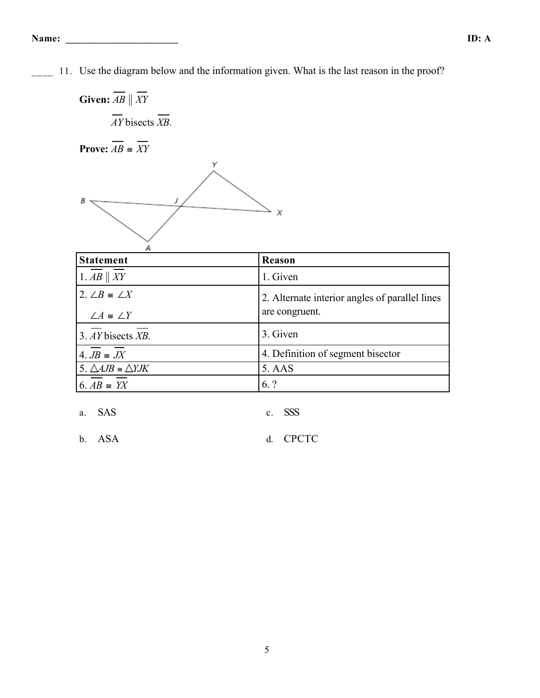<sup>11</sup>. Use the diagram below and the information given. What is the last reason in the proof?

**Given:**  $\overline{AB} \parallel \overline{XY}$ *AY* bisects *XB*. **Prove:**  $\overline{AB} \cong \overline{XY}$ Υ  $\mathbf{s}$  . J

| <b>Statement</b>                       | Reason                                                           |
|----------------------------------------|------------------------------------------------------------------|
| 1. $AB \parallel XY$                   | 1. Given                                                         |
| 2. $\angle B \cong \angle X$           | 2. Alternate interior angles of parallel lines<br>are congruent. |
| $\angle A \cong \angle Y$              |                                                                  |
| 3. AY bisects XB.                      | 3. Given                                                         |
| 4. $JB \cong JX$                       | 4. Definition of segment bisector                                |
| 5. $\triangle AJB \cong \triangle YJK$ | 5. AAS                                                           |
| $6.AB \cong YX$                        | 6. ?                                                             |

 $\overline{X}$ 

a. SAS c. SSS

b. ASA d. CPCTC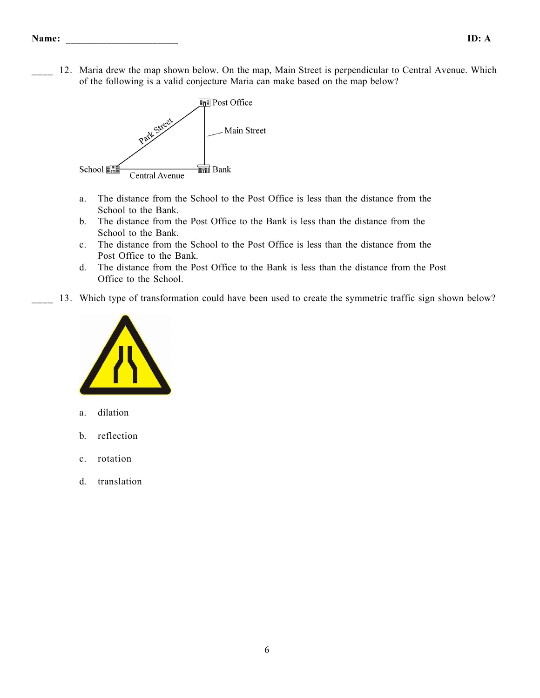12. Maria drew the map shown below. On the map, Main Street is perpendicular to Central Avenue. Which of the following is a valid conjecture Maria can make based on the map below?



- a. The distance from the School to the Post Office is less than the distance from the School to the Bank.
- b. The distance from the Post Office to the Bank is less than the distance from the School to the Bank.
- c. The distance from the School to the Post Office is less than the distance from the Post Office to the Bank.
- d. The distance from the Post Office to the Bank is less than the distance from the Post Office to the School.
- 13. Which type of transformation could have been used to create the symmetric traffic sign shown below?



- a. dilation
- b. reflection
- c. rotation
- d. translation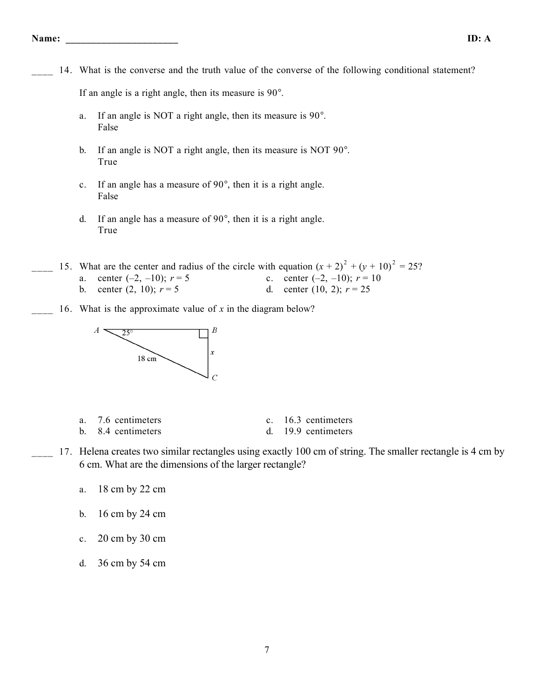14. What is the converse and the truth value of the converse of the following conditional statement?

If an angle is a right angle, then its measure is 90°.

- a. If an angle is NOT a right angle, then its measure is 90°. False
- b. If an angle is NOT a right angle, then its measure is NOT 90°. True
- c. If an angle has a measure of 90°, then it is a right angle. False
- d. If an angle has a measure of 90°, then it is a right angle. True

15. What are the center and radius of the circle with equation  $(x + 2)^2 + (y + 10)^2 = 25$ ? a. center  $(-2, -10)$ ;  $r = 5$  c. center  $(-2, -10)$ ;  $r = 10$ b. center  $(2, 10)$ ;  $r = 5$  d. center  $(10, 2)$ ;  $r = 25$ 

16. What is the approximate value of *x* in the diagram below?



| a. | 7.6 centimeters |  |  |  |  |
|----|-----------------|--|--|--|--|
|    |                 |  |  |  |  |

- c. 16.3 centimeters
- b. 8.4 centimeters d. 19.9 centimeters
- 17. Helena creates two similar rectangles using exactly 100 cm of string. The smaller rectangle is 4 cm by 6 cm. What are the dimensions of the larger rectangle?
	- a. 18 cm by 22 cm
	- b. 16 cm by 24 cm
	- c. 20 cm by 30 cm
	- d. 36 cm by 54 cm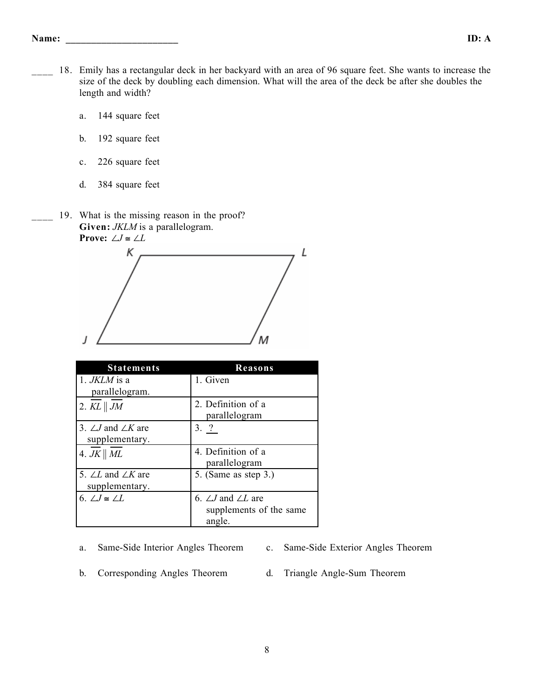- 18. Emily has a rectangular deck in her backyard with an area of 96 square feet. She wants to increase the size of the deck by doubling each dimension. What will the area of the deck be after she doubles the length and width?
	- a. 144 square feet
	- b. 192 square feet
	- c. 226 square feet
	- d. 384 square feet
	- 19. What is the missing reason in the proof? **Given:** *JKLM* is a parallelogram. **Prove:**  $\angle J \cong \angle L$



| <b>Statements</b>                | Reasons                          |
|----------------------------------|----------------------------------|
| 1. JKLM is a                     | 1. Given                         |
| parallelogram.                   |                                  |
| 2. $KL \parallel JM$             | 2. Definition of a               |
|                                  | parallelogram                    |
| 3. $\angle J$ and $\angle K$ are | 3. ?                             |
| supplementary.                   |                                  |
| 4. $JK \parallel ML$             | 4. Definition of a               |
|                                  | parallelogram                    |
| 5. $\angle L$ and $\angle K$ are | 5. (Same as step 3.)             |
| supplementary.                   |                                  |
| 6. $\angle J \cong \angle L$     | 6. $\angle J$ and $\angle L$ are |
|                                  | supplements of the same          |
|                                  | angle.                           |

- a. Same-Side Interior Angles Theorem c. Same-Side Exterior Angles Theorem
	-
- b. Corresponding Angles Theorem d. Triangle Angle-Sum Theorem
	-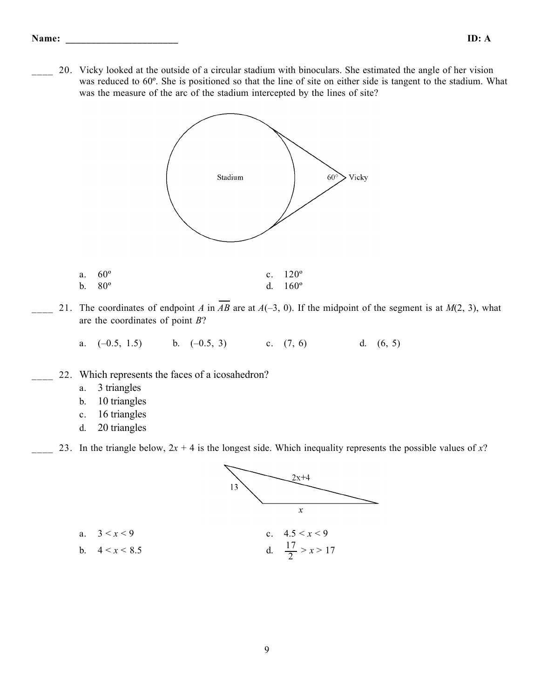#### **Name: \_\_\_\_\_\_\_\_\_\_\_\_\_\_\_\_\_\_\_\_\_\_ ID: A**

\_\_\_\_ 20. Vicky looked at the outside of a circular stadium with binoculars. She estimated the angle of her vision was reduced to 60º. She is positioned so that the line of site on either side is tangent to the stadium. What was the measure of the arc of the stadium intercepted by the lines of site?



- a.  $60^{\circ}$  c.  $120^{\circ}$ b.  $80^{\circ}$  d.  $160^{\circ}$
- 21. The coordinates of endpoint *A* in  $\overline{AB}$  are at  $A(-3, 0)$ . If the midpoint of the segment is at  $M(2, 3)$ , what are the coordinates of point *B*?
	- a.  $(-0.5, 1.5)$  b.  $(-0.5, 3)$  c.  $(7, 6)$  d.  $(6, 5)$
- 22. Which represents the faces of a icosahedron?
	- a. 3 triangles
	- b. 10 triangles
	- c. 16 triangles
	- d. 20 triangles

b.  $4 < x < 8.5$ 

23. In the triangle below,  $2x + 4$  is the longest side. Which inequality represents the possible values of x?

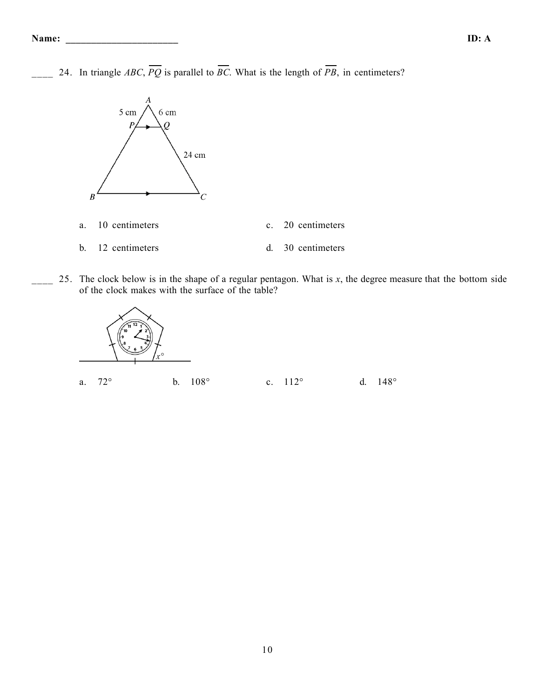24. In triangle *ABC*,  $\overline{PQ}$  is parallel to  $\overline{BC}$ . What is the length of  $\overline{PB}$ , in centimeters?



\_\_\_\_ 25. The clock below is in the shape of a regular pentagon. What is *x*, the degree measure that the bottom side of the clock makes with the surface of the table?

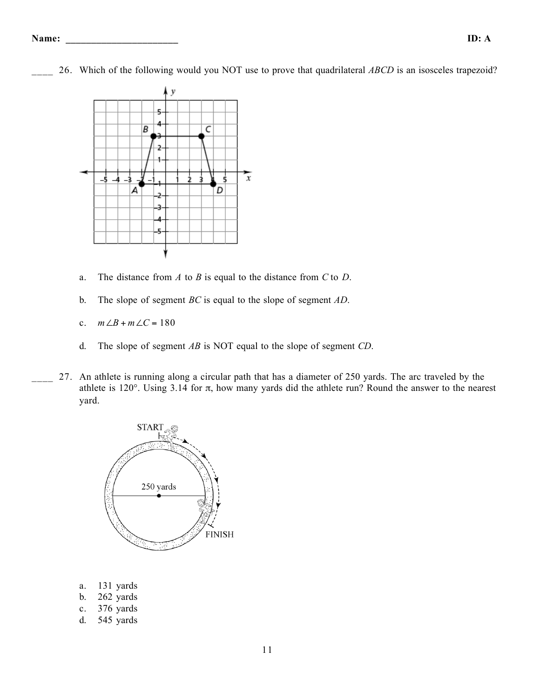\_\_\_\_ 26. Which of the following would you NOT use to prove that quadrilateral *ABCD* is an isosceles trapezoid?



- a. The distance from *A* to *B* is equal to the distance from *C* to *D*.
- b. The slope of segment *BC* is equal to the slope of segment *AD*.
- c.  $m∠B + m∠C = 180$
- d. The slope of segment *AB* is NOT equal to the slope of segment *CD*.
- 27. An athlete is running along a circular path that has a diameter of 250 yards. The arc traveled by the athlete is 120°. Using 3.14 for π, how many yards did the athlete run? Round the answer to the nearest yard.



- a. 131 yards
- b. 262 yards
- c. 376 yards
- d. 545 yards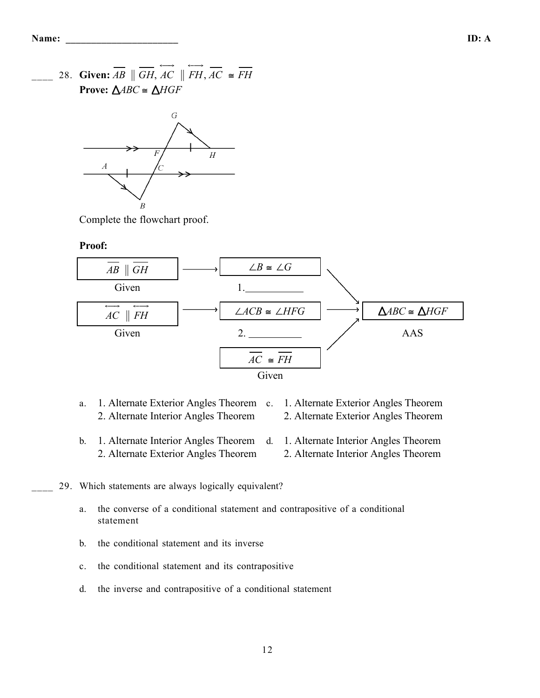28. **Given:**  $\overrightarrow{AB} \parallel \overrightarrow{GH}$ ,  $\overrightarrow{AC} \parallel \overrightarrow{FH}$ ,  $\overrightarrow{AC} \cong \overrightarrow{FH}$ **Prove:**  $\triangle ABC \cong \triangle HGF$ 



Complete the flowchart proof.

#### **Proof:**



- a. 1. Alternate Exterior Angles Theorem c. 1. Alternate Exterior Angles Theorem 2. Alternate Interior Angles Theorem 2. Alternate Exterior Angles Theorem
- b. 1. Alternate Interior Angles Theorem 2. Alternate Exterior Angles Theorem d. 1. Alternate Interior Angles Theorem 2. Alternate Interior Angles Theorem

### 29. Which statements are always logically equivalent?

- a. the converse of a conditional statement and contrapositive of a conditional statement
- b. the conditional statement and its inverse
- c. the conditional statement and its contrapositive
- d. the inverse and contrapositive of a conditional statement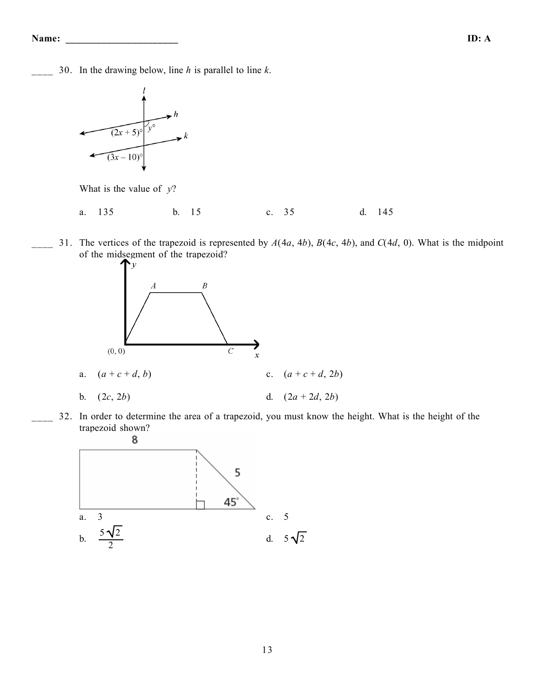\_\_\_\_ 30. In the drawing below, line *h* is parallel to line *k*.



What is the value of *y*?

a. 135 b. 15 c. 35 d. 145

\_\_\_\_ 31. The vertices of the trapezoid is represented by *A*(4*a*, 4*b*), *B*(4*c*, 4*b*), and *C*(4*d*, 0). What is the midpoint of the midsegment of the trapezoid?



\_\_\_\_ 32. In order to determine the area of a trapezoid, you must know the height. What is the height of the trapezoid shown?

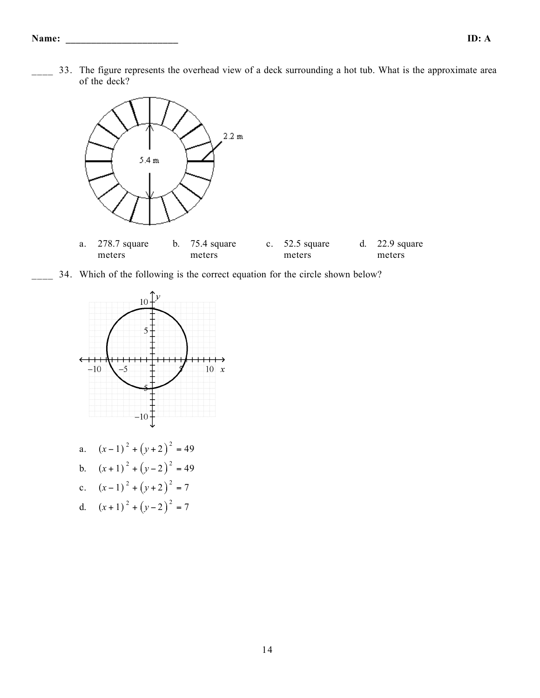\_\_\_\_ 33. The figure represents the overhead view of a deck surrounding a hot tub. What is the approximate area of the deck?





34. Which of the following is the correct equation for the circle shown below?



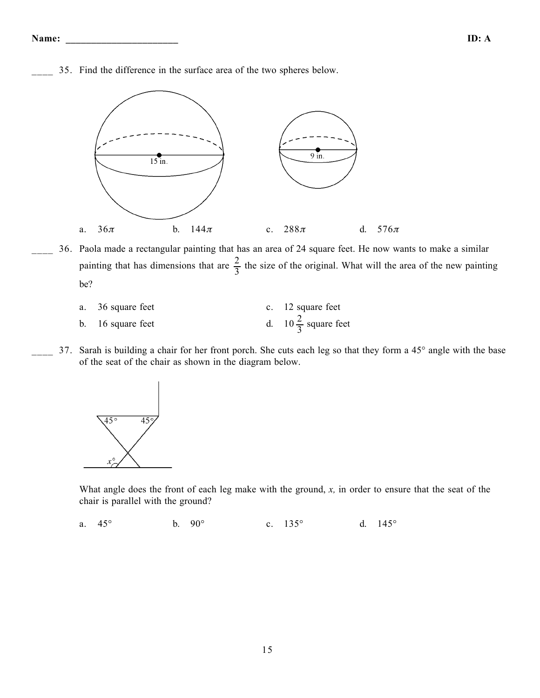\_\_\_\_ 35. Find the difference in the surface area of the two spheres below.



\_\_\_\_ 36. Paola made a rectangular painting that has an area of 24 square feet. He now wants to make a similar painting that has dimensions that are  $\frac{2}{3}$  the size of the original. What will the area of the new painting be?

| a. 36 square feet | c. 12 square feet              |
|-------------------|--------------------------------|
| b. 16 square feet | d. $10\frac{2}{3}$ square feet |

37. Sarah is building a chair for her front porch. She cuts each leg so that they form a 45° angle with the base of the seat of the chair as shown in the diagram below.



What angle does the front of each leg make with the ground, *x,* in order to ensure that the seat of the chair is parallel with the ground?

a. 45° b. 90° c. 135° d. 145°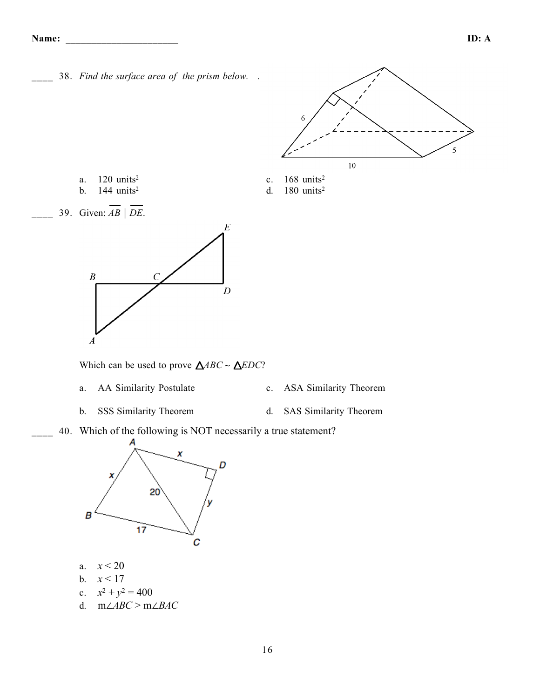\_\_\_\_ 38. *Find the surface area of the prism below. .*



- a. 120 units<sup>2</sup> c. 168 units<sup>2</sup>
- b. 144 units<sup>2</sup> d. 180 units<sup>2</sup>
- 39. Given:  $AB \parallel DE$ .



Which can be used to prove *ABC* ∼ *EDC*?

- a. AA Similarity Postulate c. ASA Similarity Theorem
	-
- b. SSS Similarity Theorem d. SAS Similarity Theorem
- 40. Which of the following is NOT necessarily a true statement?



- a. *x* < 20
- b.  $x < 17$
- c.  $x^2 + y^2 = 400$
- d. m∠*ABC* > m∠*BAC*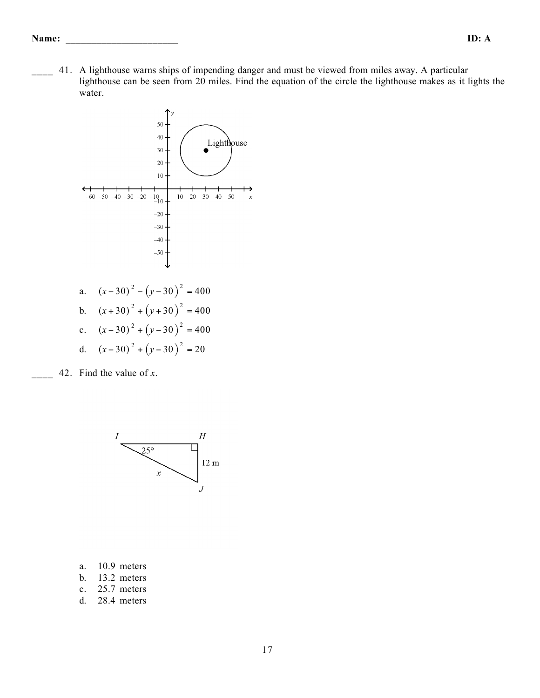#### **Name: \_\_\_\_\_\_\_\_\_\_\_\_\_\_\_\_\_\_\_\_\_\_ ID: A**

\_\_\_\_ 41. A lighthouse warns ships of impending danger and must be viewed from miles away. A particular lighthouse can be seen from 20 miles. Find the equation of the circle the lighthouse makes as it lights the water.



\_\_\_\_ 42. Find the value of *x*.



- a. 10.9 meters
- b. 13.2 meters
- c. 25.7 meters
- d. 28.4 meters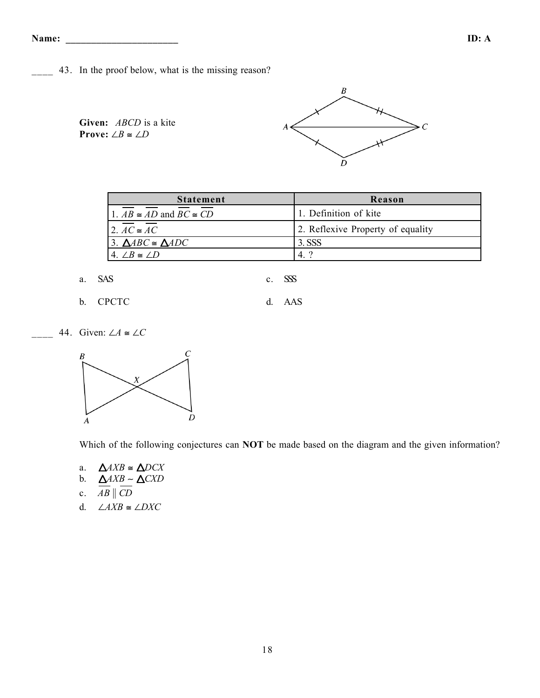**Name: \_\_\_\_\_\_\_\_\_\_\_\_\_\_\_\_\_\_\_\_\_\_ ID: A**

- 43. In the proof below, what is the missing reason?
	- **Given:** *ABCD* is a kite **Prove:** ∠*B*  $\cong$  ∠*D*



| <b>Statement</b>                       | Reason                            |  |  |  |
|----------------------------------------|-----------------------------------|--|--|--|
| 1. $AB \cong AD$ and $BC \cong CD$     | 1. Definition of kite             |  |  |  |
| 2. $AC \cong AC$                       | 2. Reflexive Property of equality |  |  |  |
| 3. $\triangle ABC \cong \triangle ADC$ | 3. SSS                            |  |  |  |
| $4 / B \cong / D$                      | $\overline{4}$                    |  |  |  |

a. SAS c. SSS

- b. CPCTC d. AAS
- \_\_\_\_ 44. Given: ∠*A* ≅ ∠*C*



Which of the following conjectures can **NOT** be made based on the diagram and the given information?

- a.  $\triangle AXB \cong \triangle DCX$
- b. *AXB* ∼ *CXD*
- c.  $AB \parallel CD$
- d. ∠*AXB* ≅ ∠*DXC*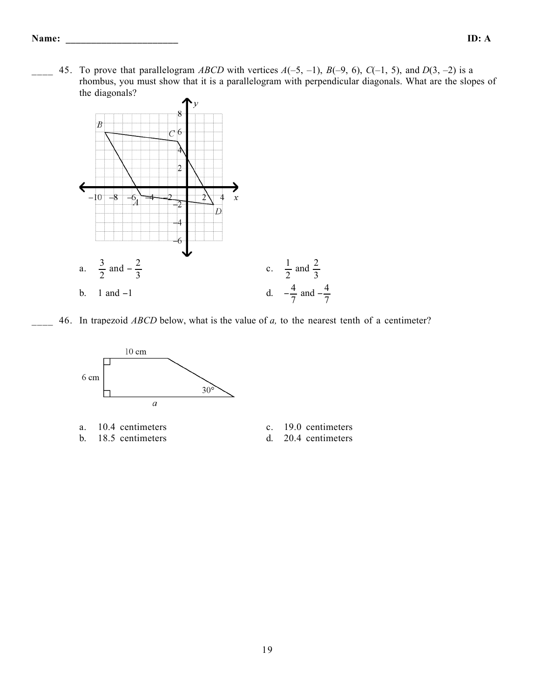45. To prove that parallelogram *ABCD* with vertices  $A(-5, -1)$ ,  $B(-9, 6)$ ,  $C(-1, 5)$ , and  $D(3, -2)$  is a rhombus, you must show that it is a parallelogram with perpendicular diagonals. What are the slopes of the diagonals?



\_\_\_\_ 46. In trapezoid *ABCD* below, what is the value of *a,* to the nearest tenth of a centimeter?



a. 10.4 centimeters c. 19.0 centimeters b. 18.5 centimeters d. 20.4 centimeters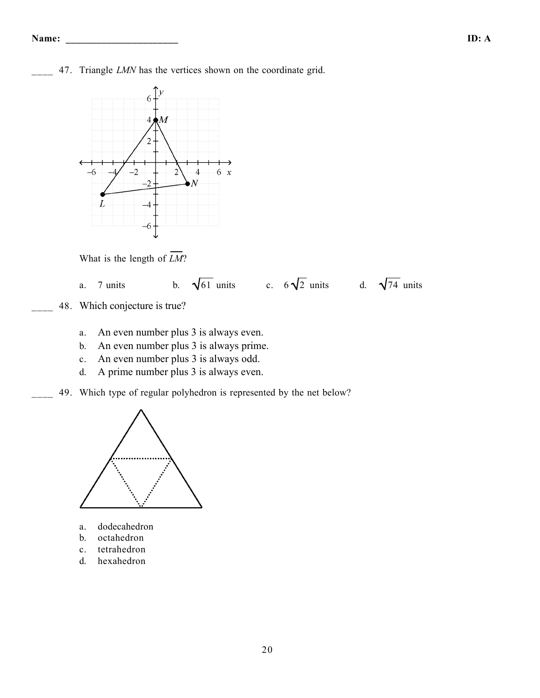47. Triangle *LMN* has the vertices shown on the coordinate grid.



What is the length of *LM*?



- 48. Which conjecture is true?
	- a. An even number plus 3 is always even.
	- b. An even number plus 3 is always prime.
	- c. An even number plus 3 is always odd.
	- d. A prime number plus 3 is always even.
- 49. Which type of regular polyhedron is represented by the net below?



- a. dodecahedron
- b. octahedron
- c. tetrahedron
- d. hexahedron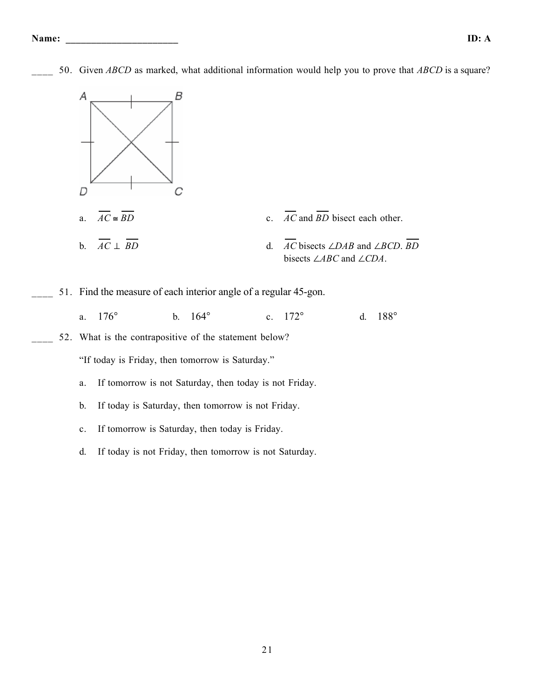

50. Given *ABCD* as marked, what additional information would help you to prove that *ABCD* is a square?

- 
- 52. What is the contrapositive of the statement below?

"If today is Friday, then tomorrow is Saturday."

- a. If tomorrow is not Saturday, then today is not Friday.
- b. If today is Saturday, then tomorrow is not Friday.
- c. If tomorrow is Saturday, then today is Friday.
- d. If today is not Friday, then tomorrow is not Saturday.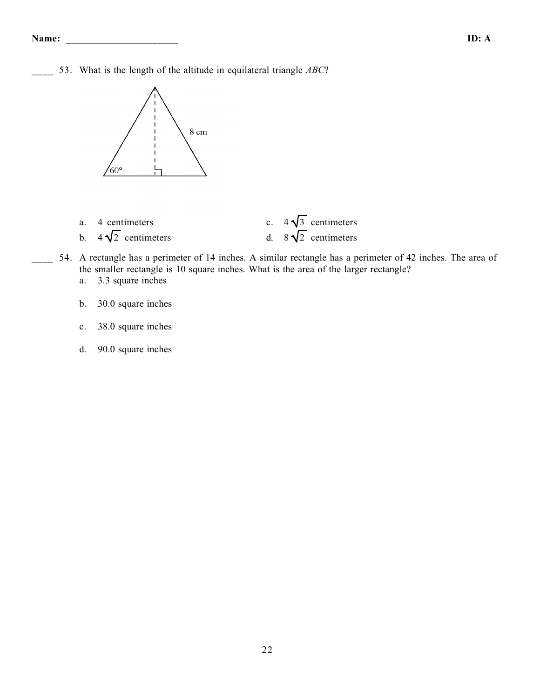53. What is the length of the altitude in equilateral triangle *ABC*?



- 
- 
- a. 4 centimeters c.  $4\sqrt{3}$  centimeters<br>b.  $4\sqrt{2}$  centimeters d.  $8\sqrt{2}$  centimeters b.  $4\sqrt{2}$  centimeters d.  $8\sqrt{2}$  centimeters
- 54. A rectangle has a perimeter of 14 inches. A similar rectangle has a perimeter of 42 inches. The area of the smaller rectangle is 10 square inches. What is the area of the larger rectangle? a. 3.3 square inches
	- b. 30.0 square inches
	- c. 38.0 square inches
	- d. 90.0 square inches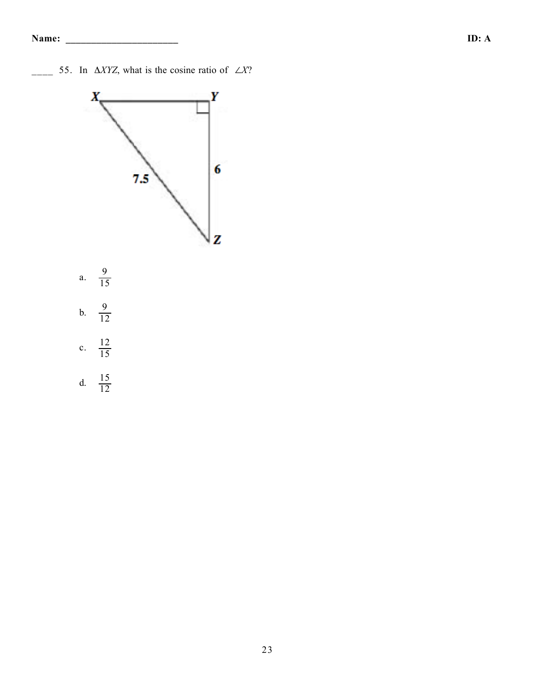\_\_\_\_ 55. In Δ*XYZ*, what is the cosine ratio of ∠*X*?

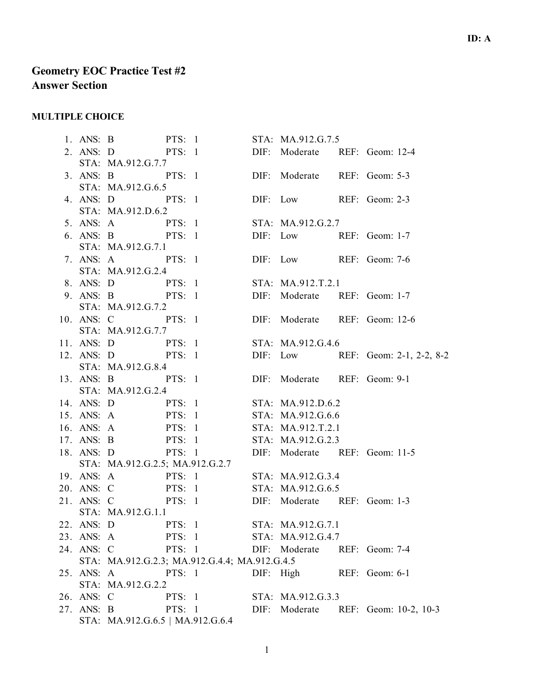# **Geometry EOC Practice Test #2 Answer Section**

### **MULTIPLE CHOICE**

1. ANS: B PTS: 1 STA: MA.912.G.7.5 2. ANS: D PTS: 1 DIF: Moderate REF: Geom: 12-4 STA: MA.912.G.7.7 3. ANS: B PTS: 1 DIF: Moderate REF: Geom: 5-3 STA: MA.912.G.6.5 4. ANS: D PTS: 1 DIF: Low REF: Geom: 2-3 STA: MA.912.D.6.2 5. ANS: A PTS: 1 STA: MA.912.G.2.7 6. ANS: B PTS: 1 DIF: Low REF: Geom: 1-7 STA: MA.912.G.7.1 7. ANS: A PTS: 1 DIF: Low REF: Geom: 7-6 STA: MA.912.G.2.4 8. ANS: D PTS: 1 STA: MA.912.T.2.1 9. ANS: B PTS: 1 DIF: Moderate REF: Geom: 1-7 STA: MA.912.G.7.2 10. ANS: C PTS: 1 DIF: Moderate REF: Geom: 12-6 STA: MA.912.G.7.7 11. ANS: D PTS: 1 STA: MA.912.G.4.6 12. ANS: D PTS: 1 DIF: Low REF: Geom: 2-1, 2-2, 8-2 STA: MA.912.G.8.4 13. ANS: B PTS: 1 DIF: Moderate REF: Geom: 9-1 STA: MA.912.G.2.4 14. ANS: D PTS: 1 STA: MA.912.D.6.2 15. ANS: A PTS: 1 STA: MA.912.G.6.6 16. ANS: A PTS: 1 STA: MA.912.T.2.1 17. ANS: B PTS: 1 STA: MA.912.G.2.3 18. ANS: D PTS: 1 DIF: Moderate REF: Geom: 11-5 STA: MA.912.G.2.5; MA.912.G.2.7 19. ANS: A PTS: 1 STA: MA.912.G.3.4 20. ANS: C PTS: 1 STA: MA.912.G.6.5 21. ANS: C PTS: 1 DIF: Moderate REF: Geom: 1-3 STA: MA.912.G.1.1 22. ANS: D PTS: 1 STA: MA.912.G.7.1 23. ANS: A PTS: 1 STA: MA.912.G.4.7 24. ANS: C PTS: 1 DIF: Moderate REF: Geom: 7-4 STA: MA.912.G.2.3; MA.912.G.4.4; MA.912.G.4.5 25. ANS: A PTS: 1 DIF: High REF: Geom: 6-1 STA: MA.912.G.2.2 26. ANS: C PTS: 1 STA: MA.912.G.3.3 27. ANS: B PTS: 1 DIF: Moderate REF: Geom: 10-2, 10-3 STA: MA.912.G.6.5 | MA.912.G.6.4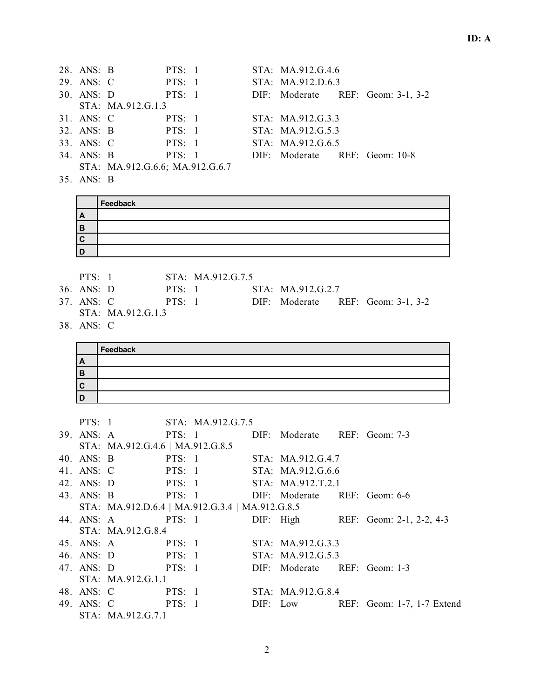| 28. ANS: B |                                 | PTS: 1 |  | STA: MA.912.G.4.6             |                                   |
|------------|---------------------------------|--------|--|-------------------------------|-----------------------------------|
| 29. ANS: C | PTS: 1                          |        |  | STA: MA.912.D.6.3             |                                   |
| 30. ANS: D |                                 | PTS: 1 |  |                               | DIF: Moderate REF: Geom: 3-1, 3-2 |
|            | STA: MA.912.G.1.3               |        |  |                               |                                   |
| 31. ANS: C |                                 | PTS: 1 |  | STA: MA.912.G.3.3             |                                   |
|            | 32. ANS: B PTS: 1               |        |  | STA: MA.912.G.5.3             |                                   |
| 33. ANS: C |                                 | PTS: 1 |  | STA: MA.912.G.6.5             |                                   |
| 34. ANS: B |                                 | PTS: 1 |  | DIF: Moderate REF: Geom: 10-8 |                                   |
|            | STA: MA.912.G.6.6; MA.912.G.6.7 |        |  |                               |                                   |

35. ANS: B

|              | Feedback |
|--------------|----------|
| $\mathbf{A}$ |          |
| в            |          |
| C            |          |
|              |          |

PTS: 1 STA: MA.912.G.7.5

- 36. ANS: D PTS: 1 STA: MA.912.G.2.7
	-
- 37. ANS: C PTS: 1 DIF: Moderate REF: Geom: 3-1, 3-2
- STA: MA.912.G.1.3
- 38. ANS: C

|   | Feedback |
|---|----------|
| A |          |
| B |          |
|   |          |
|   |          |

|            | PTS: 1                           | STA: MA.912.G.7.5                               |                   |                                                      |
|------------|----------------------------------|-------------------------------------------------|-------------------|------------------------------------------------------|
|            |                                  | 39. ANS: A PTS: 1 DIF: Moderate REF: Geom: 7-3  |                   |                                                      |
|            | STA: MA.912.G.4.6   MA.912.G.8.5 |                                                 |                   |                                                      |
|            |                                  | 40. ANS: B PTS: 1 STA: MA.912.G.4.7             |                   |                                                      |
| 41. ANS: C |                                  | PTS: 1 STA: MA.912.G.6.6                        |                   |                                                      |
|            |                                  | 42. ANS: D PTS: 1 STA: MA.912.T.2.1             |                   |                                                      |
|            |                                  | 43. ANS: B PTS: 1 DIF: Moderate REF: Geom: 6-6  |                   |                                                      |
|            |                                  | STA: MA.912.D.6.4   MA.912.G.3.4   MA.912.G.8.5 |                   |                                                      |
|            |                                  |                                                 |                   | 44. ANS: A PTS: 1 DIF: High REF: Geom: 2-1, 2-2, 4-3 |
|            | STA: MA.912.G.8.4                |                                                 |                   |                                                      |
|            | 45. ANS: A PTS: 1                |                                                 | STA: MA.912.G.3.3 |                                                      |
|            | 46. ANS: D PTS: 1                |                                                 | STA: MA.912.G.5.3 |                                                      |
|            |                                  | 47. ANS: D PTS: 1 DIF: Moderate REF: Geom: 1-3  |                   |                                                      |
|            | STA: MA.912.G.1.1                |                                                 |                   |                                                      |
|            | 48. ANS: C PTS: 1                |                                                 | STA: MA.912.G.8.4 |                                                      |
|            | 49. ANS: C PTS: 1                |                                                 |                   | DIF: Low REF: Geom: 1-7, 1-7 Extend                  |
|            | STA: MA.912.G.7.1                |                                                 |                   |                                                      |